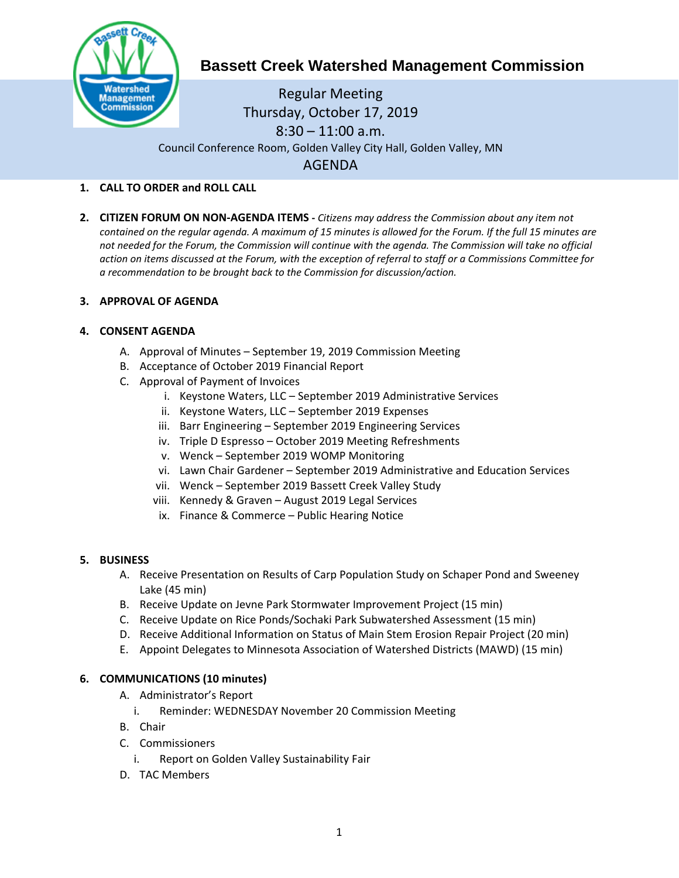

# **Bassett Creek Watershed Management Commission**

Regular Meeting Thursday, October 17, 2019  $8:30 - 11:00$  a.m. Council Conference Room, Golden Valley City Hall, Golden Valley, MN AGENDA

## **1. CALL TO ORDER and ROLL CALL**

**2. CITIZEN FORUM ON NON-AGENDA ITEMS -** *Citizens may address the Commission about any item not contained on the regular agenda. A maximum of 15 minutes is allowed for the Forum. If the full 15 minutes are*  not needed for the Forum, the Commission will continue with the agenda. The Commission will take no official *action on items discussed at the Forum, with the exception of referral to staff or a Commissions Committee for a recommendation to be brought back to the Commission for discussion/action.*

## **3. APPROVAL OF AGENDA**

## **4. CONSENT AGENDA**

- A. Approval of Minutes September 19, 2019 Commission Meeting
- B. Acceptance of October 2019 Financial Report
- C. Approval of Payment of Invoices
	- i. Keystone Waters, LLC September 2019 Administrative Services
	- ii. Keystone Waters, LLC September 2019 Expenses
	- iii. Barr Engineering September 2019 Engineering Services
	- iv. Triple D Espresso October 2019 Meeting Refreshments
	- v. Wenck September 2019 WOMP Monitoring
	- vi. Lawn Chair Gardener September 2019 Administrative and Education Services
	- vii. Wenck September 2019 Bassett Creek Valley Study
	- viii. Kennedy & Graven August 2019 Legal Services
	- ix. Finance & Commerce Public Hearing Notice

#### **5. BUSINESS**

- A. Receive Presentation on Results of Carp Population Study on Schaper Pond and Sweeney Lake (45 min)
- B. Receive Update on Jevne Park Stormwater Improvement Project (15 min)
- C. Receive Update on Rice Ponds/Sochaki Park Subwatershed Assessment (15 min)
- D. Receive Additional Information on Status of Main Stem Erosion Repair Project (20 min)
- E. Appoint Delegates to Minnesota Association of Watershed Districts (MAWD) (15 min)

#### **6. COMMUNICATIONS (10 minutes)**

- A. Administrator's Report
	- i. Reminder: WEDNESDAY November 20 Commission Meeting
- B. Chair
- C. Commissioners
	- i. Report on Golden Valley Sustainability Fair
- D. TAC Members